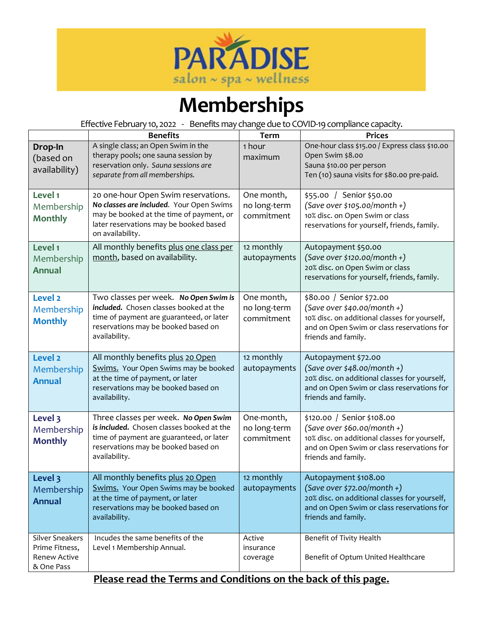

## **Memberships**

Effective February 10, 2022 - Benefits may change due to COVID-19compliance capacity.

|                                                                               | <b>Benefits</b>                                                                                                                                                                           | <b>Term</b>                              | <b>Prices</b>                                                                                                                                                                    |
|-------------------------------------------------------------------------------|-------------------------------------------------------------------------------------------------------------------------------------------------------------------------------------------|------------------------------------------|----------------------------------------------------------------------------------------------------------------------------------------------------------------------------------|
| Drop-In<br>(based on<br>availability)                                         | A single class; an Open Swim in the<br>therapy pools; one sauna session by<br>reservation only. Sauna sessions are<br>separate from all memberships.                                      | 1 hour<br>maximum                        | One-hour class \$15.00 / Express class \$10.00<br>Open Swim \$8.00<br>Sauna \$10.00 per person<br>Ten (10) sauna visits for \$80.00 pre-paid.                                    |
| Level 1<br>Membership<br><b>Monthly</b>                                       | 20 one-hour Open Swim reservations.<br>No classes are included. Your Open Swims<br>may be booked at the time of payment, or<br>later reservations may be booked based<br>on availability. | One month,<br>no long-term<br>commitment | \$55.00 / Senior \$50.00<br>$(Save over $105.00/month +)$<br>10% disc. on Open Swim or class<br>reservations for yourself, friends, family.                                      |
| Level 1<br>Membership<br><b>Annual</b>                                        | All monthly benefits plus one class per<br>month, based on availability.                                                                                                                  | 12 monthly<br>autopayments               | Autopayment \$50.00<br>$(Save over $120.00/month +)$<br>20% disc. on Open Swim or class<br>reservations for yourself, friends, family.                                           |
| Level <sub>2</sub><br>Membership<br><b>Monthly</b>                            | Two classes per week. No Open Swim is<br>included. Chosen classes booked at the<br>time of payment are guaranteed, or later<br>reservations may be booked based on<br>availability.       | One month,<br>no long-term<br>commitment | \$80.00 / Senior \$72.00<br>$(Save over $40.00/month +)$<br>10% disc. on additional classes for yourself,<br>and on Open Swim or class reservations for<br>friends and family.   |
| Level <sub>2</sub><br>Membership<br><b>Annual</b>                             | All monthly benefits plus 20 Open<br>Swims. Your Open Swims may be booked<br>at the time of payment, or later<br>reservations may be booked based on<br>availability.                     | 12 monthly<br>autopayments               | Autopayment \$72.00<br>$(Save over $48.00/month +)$<br>20% disc. on additional classes for yourself,<br>and on Open Swim or class reservations for<br>friends and family.        |
| Level 3<br>Membership<br><b>Monthly</b>                                       | Three classes per week. No Open Swim<br>is included. Chosen classes booked at the<br>time of payment are guaranteed, or later<br>reservations may be booked based on<br>availability.     | One-month,<br>no long-term<br>commitment | \$120.00 / Senior \$108.00<br>$(Save over $60.00/month +)$<br>10% disc. on additional classes for yourself,<br>and on Open Swim or class reservations for<br>friends and family. |
| Level 3<br>Membership<br><b>Annual</b>                                        | All monthly benefits plus 20 Open<br><b>Swims.</b> Your Open Swims may be booked<br>at the time of payment, or later<br>reservations may be booked based on<br>availability.              | 12 monthly<br>autopayments               | Autopayment \$108.00<br>$(Save over $72.00/month +)$<br>20% disc. on additional classes for yourself,<br>and on Open Swim or class reservations for<br>friends and family.       |
| <b>Silver Sneakers</b><br>Prime Fitness,<br><b>Renew Active</b><br>& One Pass | Incudes the same benefits of the<br>Level 1 Membership Annual.                                                                                                                            | Active<br>insurance<br>coverage          | Benefit of Tivity Health<br>Benefit of Optum United Healthcare                                                                                                                   |

## **Please read the Terms and Conditions on the back of this page.**